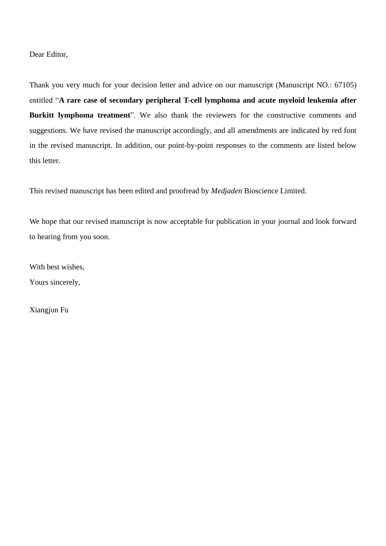Dear Editor,

Thank you very much for your decision letter and advice on our manuscript (Manuscript NO.: 67105) entitled "**A rare case of secondary peripheral T-cell lymphoma and acute myeloid leukemia after Burkitt lymphoma treatment**". We also thank the reviewers for the constructive comments and suggestions. We have revised the manuscript accordingly, and all amendments are indicated by red font in the revised manuscript. In addition, our point-by-point responses to the comments are listed below this letter.

This revised manuscript has been edited and proofread by *Medjaden* Bioscience Limited.

We hope that our revised manuscript is now acceptable for publication in your journal and look forward to hearing from you soon.

With best wishes,

Yours sincerely,

Xiangjun Fu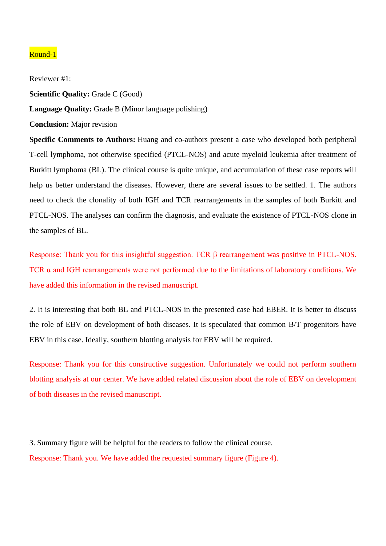### Round-1

Reviewer #1: **Scientific Quality:** Grade C (Good) **Language Quality:** Grade B (Minor language polishing) **Conclusion:** Major revision **Specific Comments to Authors:** Huang and co-authors present a case who developed both peripheral T-cell lymphoma, not otherwise specified (PTCL-NOS) and acute myeloid leukemia after treatment of Burkitt lymphoma (BL). The clinical course is quite unique, and accumulation of these case reports will help us better understand the diseases. However, there are several issues to be settled. 1. The authors need to check the clonality of both IGH and TCR rearrangements in the samples of both Burkitt and PTCL-NOS. The analyses can confirm the diagnosis, and evaluate the existence of PTCL-NOS clone in the samples of BL.

Response: Thank you for this insightful suggestion. TCR β rearrangement was positive in PTCL-NOS. TCR α and IGH rearrangements were not performed due to the limitations of laboratory conditions. We have added this information in the revised manuscript.

2. It is interesting that both BL and PTCL-NOS in the presented case had EBER. It is better to discuss the role of EBV on development of both diseases. It is speculated that common B/T progenitors have EBV in this case. Ideally, southern blotting analysis for EBV will be required.

Response: Thank you for this constructive suggestion. Unfortunately we could not perform southern blotting analysis at our center. We have added related discussion about the role of EBV on development of both diseases in the revised manuscript.

3. Summary figure will be helpful for the readers to follow the clinical course. Response: Thank you. We have added the requested summary figure (Figure 4).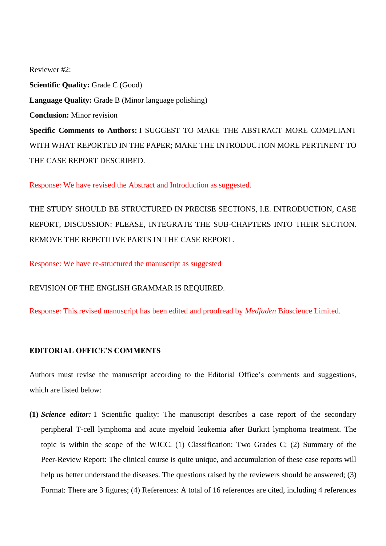Reviewer #2: **Scientific Quality:** Grade C (Good) **Language Quality:** Grade B (Minor language polishing) **Conclusion:** Minor revision **Specific Comments to Authors:** I SUGGEST TO MAKE THE ABSTRACT MORE COMPLIANT WITH WHAT REPORTED IN THE PAPER; MAKE THE INTRODUCTION MORE PERTINENT TO THE CASE REPORT DESCRIBED.

Response: We have revised the Abstract and Introduction as suggested.

THE STUDY SHOULD BE STRUCTURED IN PRECISE SECTIONS, I.E. INTRODUCTION, CASE REPORT, DISCUSSION: PLEASE, INTEGRATE THE SUB-CHAPTERS INTO THEIR SECTION. REMOVE THE REPETITIVE PARTS IN THE CASE REPORT.

Response: We have re-structured the manuscript as suggested

REVISION OF THE ENGLISH GRAMMAR IS REQUIRED.

Response: This revised manuscript has been edited and proofread by *Medjaden* Bioscience Limited.

## **EDITORIAL OFFICE'S COMMENTS**

Authors must revise the manuscript according to the Editorial Office's comments and suggestions, which are listed below:

**(1)** *Science editor:* 1 Scientific quality: The manuscript describes a case report of the secondary peripheral T-cell lymphoma and acute myeloid leukemia after Burkitt lymphoma treatment. The topic is within the scope of the WJCC. (1) Classification: Two Grades C; (2) Summary of the Peer-Review Report: The clinical course is quite unique, and accumulation of these case reports will help us better understand the diseases. The questions raised by the reviewers should be answered; (3) Format: There are 3 figures; (4) References: A total of 16 references are cited, including 4 references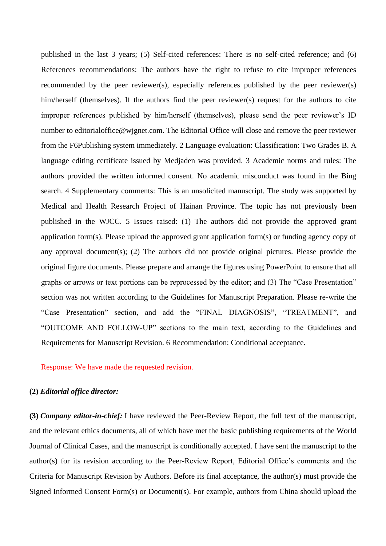published in the last 3 years; (5) Self-cited references: There is no self-cited reference; and (6) References recommendations: The authors have the right to refuse to cite improper references recommended by the peer reviewer(s), especially references published by the peer reviewer(s) him/herself (themselves). If the authors find the peer reviewer(s) request for the authors to cite improper references published by him/herself (themselves), please send the peer reviewer's ID number to editorialoffice@wjgnet.com. The Editorial Office will close and remove the peer reviewer from the F6Publishing system immediately. 2 Language evaluation: Classification: Two Grades B. A language editing certificate issued by Medjaden was provided. 3 Academic norms and rules: The authors provided the written informed consent. No academic misconduct was found in the Bing search. 4 Supplementary comments: This is an unsolicited manuscript. The study was supported by Medical and Health Research Project of Hainan Province. The topic has not previously been published in the WJCC. 5 Issues raised: (1) The authors did not provide the approved grant application form(s). Please upload the approved grant application form(s) or funding agency copy of any approval document(s); (2) The authors did not provide original pictures. Please provide the original figure documents. Please prepare and arrange the figures using PowerPoint to ensure that all graphs or arrows or text portions can be reprocessed by the editor; and (3) The "Case Presentation" section was not written according to the Guidelines for Manuscript Preparation. Please re-write the "Case Presentation" section, and add the "FINAL DIAGNOSIS", "TREATMENT", and "OUTCOME AND FOLLOW-UP" sections to the main text, according to the Guidelines and Requirements for Manuscript Revision. 6 Recommendation: Conditional acceptance.

#### Response: We have made the requested revision.

#### **(2)** *Editorial office director:*

**(3)** *Company editor-in-chief:* I have reviewed the Peer-Review Report, the full text of the manuscript, and the relevant ethics documents, all of which have met the basic publishing requirements of the World Journal of Clinical Cases, and the manuscript is conditionally accepted. I have sent the manuscript to the author(s) for its revision according to the Peer-Review Report, Editorial Office's comments and the Criteria for Manuscript Revision by Authors. Before its final acceptance, the author(s) must provide the Signed Informed Consent Form(s) or Document(s). For example, authors from China should upload the